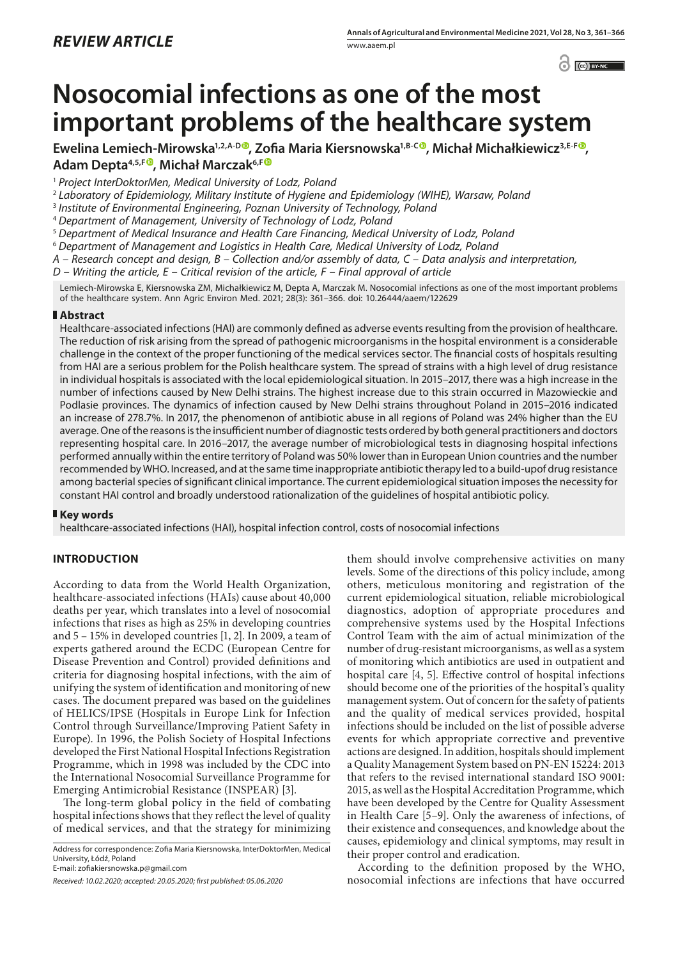$\odot$   $\odot$  BY-NC

# **Nosocomial infections as one of the most important problems of the healthcare system**

**Ewelina Lemiech-Mirowska1,2,A-D [, Zofia Maria Kiersnowska1](https://orcid.org/0000-0001-8751-0748),B-C , Michał Michałkiewicz3,E-[F](https://orcid.org/0000-0002-2945-6971) , Adam Depta4,5,F , Michał Marczak6,F**

<sup>1</sup> *Project InterDoktorMen, Medical University of Lodz, Poland*

<sup>2</sup> *Laboratory of Epidemiology, Military Institute of Hygiene and Epidemiology (WIHE), Warsaw, Poland*

<sup>3</sup> *Institute of Environmental Engineering, Poznan University of Technology, Poland*

<sup>4</sup> *Department of Management, University of Technology of Lodz, Poland*

<sup>5</sup> *Department of Medical Insurance and Health Care Financing, Medical University of Lodz, Poland*

<sup>6</sup> *Department of Management and Logistics in Health Care, Medical University of Lodz, Poland*

*A – Research concept and design, B – Collection and/or assembly of data, C – Data analysis and interpretation,* 

*D – Writing the article, E – Critical revision of the article, F – Final approval of article*

Lemiech-Mirowska E, Kiersnowska ZM, Michałkiewicz M, Depta A, Marczak M. Nosocomial infections as one of the most important problems of the healthcare system. Ann Agric Environ Med. 2021; 28(3): 361–366. doi: 10.26444/aaem/122629

## **Abstract**

Healthcare-associated infections (HAI) are commonly defined as adverse events resulting from the provision of healthcare. The reduction of risk arising from the spread of pathogenic microorganisms in the hospital environment is a considerable challenge in the context of the proper functioning of the medical services sector. The financial costs of hospitals resulting from HAI are a serious problem for the Polish healthcare system. The spread of strains with a high level of drug resistance in individual hospitals is associated with the local epidemiological situation. In 2015–2017, there was a high increase in the number of infections caused by New Delhi strains. The highest increase due to this strain occurred in Mazowieckie and Podlasie provinces. The dynamics of infection caused by New Delhi strains throughout Poland in 2015–2016 indicated an increase of 278.7%. In 2017, the phenomenon of antibiotic abuse in all regions of Poland was 24% higher than the EU average. One of the reasons is the insufficient number of diagnostic tests ordered by both general practitioners and doctors representing hospital care. In 2016–2017, the average number of microbiological tests in diagnosing hospital infections performed annually within the entire territory of Poland was 50% lower than in European Union countries and the number recommended by WHO. Increased, and at the same time inappropriate antibiotic therapy led to a build-upof drug resistance among bacterial species of significant clinical importance. The current epidemiological situation imposes the necessity for constant HAI control and broadly understood rationalization of the guidelines of hospital antibiotic policy.

## **Key words**

healthcare-associated infections (HAI), hospital infection control, costs of nosocomial infections

## **INTRODUCTION**

According to data from the World Health Organization, healthcare-associated infections (HAIs) cause about 40,000 deaths per year, which translates into a level of nosocomial infections that rises as high as 25% in developing countries and 5 – 15% in developed countries [1, 2]. In 2009, a team of experts gathered around the ECDC (European Centre for Disease Prevention and Control) provided definitions and criteria for diagnosing hospital infections, with the aim of unifying the system of identification and monitoring of new cases. The document prepared was based on the guidelines of HELICS/IPSE (Hospitals in Europe Link for Infection Control through Surveillance/Improving Patient Safety in Europe). In 1996, the Polish Society of Hospital Infections developed the First National Hospital Infections Registration Programme, which in 1998 was included by the CDC into the International Nosocomial Surveillance Programme for Emerging Antimicrobial Resistance (INSPEAR) [3].

The long-term global policy in the field of combating hospital infections shows that they reflect the level of quality of medical services, and that the strategy for minimizing

Address for correspondence: Zofia Maria Kiersnowska, InterDoktorMen, Medical University, Łódź, Poland

E-mail: zofiakiersnowska.p@gmail.com

them should involve comprehensive activities on many levels. Some of the directions of this policy include, among others, meticulous monitoring and registration of the current epidemiological situation, reliable microbiological diagnostics, adoption of appropriate procedures and comprehensive systems used by the Hospital Infections Control Team with the aim of actual minimization of the number of drug-resistant microorganisms, as well as a system of monitoring which antibiotics are used in outpatient and hospital care [4, 5]. Effective control of hospital infections should become one of the priorities of the hospital's quality management system. Out of concern for the safety of patients and the quality of medical services provided, hospital infections should be included on the list of possible adverse events for which appropriate corrective and preventive actions are designed. In addition, hospitals should implement a Quality Management System based on PN-EN 15224: 2013 that refers to the revised international standard ISO 9001: 2015, as well as the Hospital Accreditation Programme, which have been developed by the Centre for Quality Assessment in Health Care [5–9]. Only the awareness of infections, of their existence and consequences, and knowledge about the causes, epidemiology and clinical symptoms, may result in their proper control and eradication.

According to the definition proposed by the WHO, nosocomial infections are infections that have occurred

*Received: 10.02.2020; accepted: 20.05.2020; first published: 05.06.2020*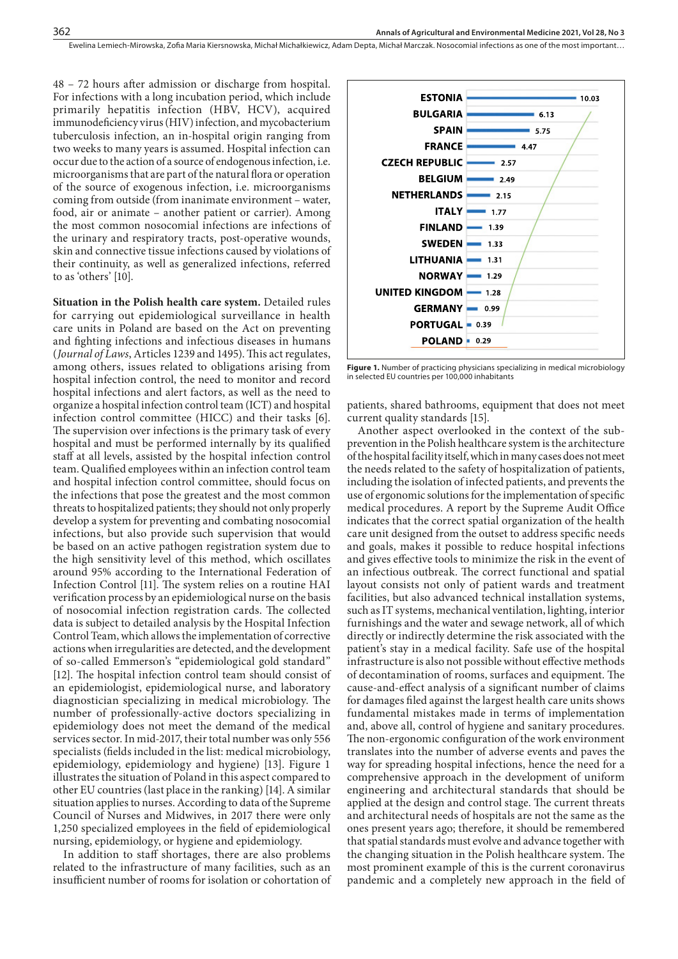48 – 72 hours after admission or discharge from hospital. For infections with a long incubation period, which include primarily hepatitis infection (HBV, HCV), acquired immunodeficiency virus (HIV) infection, and mycobacterium tuberculosis infection, an in-hospital origin ranging from two weeks to many years is assumed. Hospital infection can occur due to the action of a source of endogenous infection, i.e. microorganisms that are part of the natural flora or operation of the source of exogenous infection, i.e. microorganisms coming from outside (from inanimate environment – water, food, air or animate – another patient or carrier). Among the most common nosocomial infections are infections of the urinary and respiratory tracts, post-operative wounds, skin and connective tissue infections caused by violations of their continuity, as well as generalized infections, referred to as 'others' [10].

**Situation in the Polish health care system.** Detailed rules for carrying out epidemiological surveillance in health care units in Poland are based on the Act on preventing and fighting infections and infectious diseases in humans (*Journal of Laws*, Articles 1239 and 1495). This act regulates, among others, issues related to obligations arising from hospital infection control, the need to monitor and record hospital infections and alert factors, as well as the need to organize a hospital infection control team (ICT) and hospital infection control committee (HICC) and their tasks [6]. The supervision over infections is the primary task of every hospital and must be performed internally by its qualified staff at all levels, assisted by the hospital infection control team. Qualified employees within an infection control team and hospital infection control committee, should focus on the infections that pose the greatest and the most common threats to hospitalized patients; they should not only properly develop a system for preventing and combating nosocomial infections, but also provide such supervision that would be based on an active pathogen registration system due to the high sensitivity level of this method, which oscillates around 95% according to the International Federation of Infection Control [11]. The system relies on a routine HAI verification process by an epidemiological nurse on the basis of nosocomial infection registration cards. The collected data is subject to detailed analysis by the Hospital Infection Control Team, which allows the implementation of corrective actions when irregularities are detected, and the development of so-called Emmerson's "epidemiological gold standard" [12]. The hospital infection control team should consist of an epidemiologist, epidemiological nurse, and laboratory diagnostician specializing in medical microbiology. The number of professionally-active doctors specializing in epidemiology does not meet the demand of the medical services sector. In mid-2017, their total number was only 556 specialists (fields included in the list: medical microbiology, epidemiology, epidemiology and hygiene) [13]. Figure 1 illustrates the situation of Poland in this aspect compared to other EU countries (last place in the ranking) [14]. A similar situation applies to nurses. According to data of the Supreme Council of Nurses and Midwives, in 2017 there were only 1,250 specialized employees in the field of epidemiological nursing, epidemiology, or hygiene and epidemiology.

In addition to staff shortages, there are also problems related to the infrastructure of many facilities, such as an insufficient number of rooms for isolation or cohortation of



**Figure 1.** Number of practicing physicians specializing in medical microbiology in selected EU countries per 100,000 inhabitants

patients, shared bathrooms, equipment that does not meet current quality standards [15].

Another aspect overlooked in the context of the subprevention in the Polish healthcare system is the architecture of the hospital facility itself, which in many cases does not meet the needs related to the safety of hospitalization of patients, including the isolation of infected patients, and prevents the use of ergonomic solutions for the implementation of specific medical procedures. A report by the Supreme Audit Office indicates that the correct spatial organization of the health care unit designed from the outset to address specific needs and goals, makes it possible to reduce hospital infections and gives effective tools to minimize the risk in the event of an infectious outbreak. The correct functional and spatial layout consists not only of patient wards and treatment facilities, but also advanced technical installation systems, such as IT systems, mechanical ventilation, lighting, interior furnishings and the water and sewage network, all of which directly or indirectly determine the risk associated with the patient's stay in a medical facility. Safe use of the hospital infrastructure is also not possible without effective methods of decontamination of rooms, surfaces and equipment. The cause-and-effect analysis of a significant number of claims for damages filed against the largest health care units shows fundamental mistakes made in terms of implementation and, above all, control of hygiene and sanitary procedures. The non-ergonomic configuration of the work environment translates into the number of adverse events and paves the way for spreading hospital infections, hence the need for a comprehensive approach in the development of uniform engineering and architectural standards that should be applied at the design and control stage. The current threats and architectural needs of hospitals are not the same as the ones present years ago; therefore, it should be remembered that spatial standards must evolve and advance together with the changing situation in the Polish healthcare system. The most prominent example of this is the current coronavirus pandemic and a completely new approach in the field of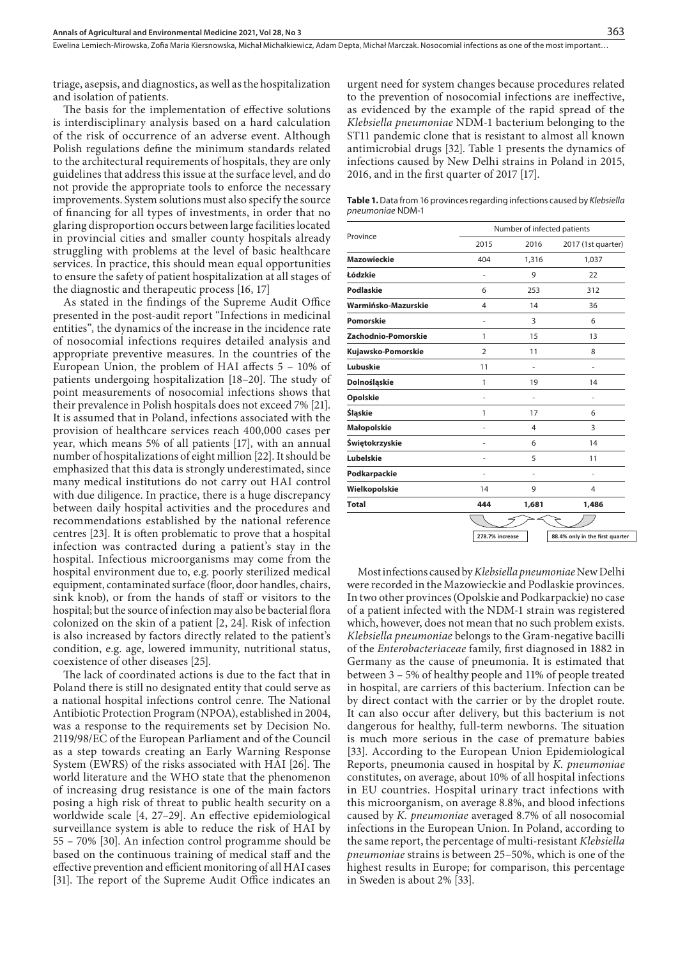triage, asepsis, and diagnostics, as well as the hospitalization and isolation of patients.

The basis for the implementation of effective solutions is interdisciplinary analysis based on a hard calculation of the risk of occurrence of an adverse event. Although Polish regulations define the minimum standards related to the architectural requirements of hospitals, they are only guidelines that address this issue at the surface level, and do not provide the appropriate tools to enforce the necessary improvements. System solutions must also specify the source of financing for all types of investments, in order that no glaring disproportion occurs between large facilities located in provincial cities and smaller county hospitals already struggling with problems at the level of basic healthcare services. In practice, this should mean equal opportunities to ensure the safety of patient hospitalization at all stages of the diagnostic and therapeutic process [16, 17]

As stated in the findings of the Supreme Audit Office presented in the post-audit report "Infections in medicinal entities", the dynamics of the increase in the incidence rate of nosocomial infections requires detailed analysis and appropriate preventive measures. In the countries of the European Union, the problem of HAI affects 5 – 10% of patients undergoing hospitalization [18–20]. The study of point measurements of nosocomial infections shows that their prevalence in Polish hospitals does not exceed 7% [21]. It is assumed that in Poland, infections associated with the provision of healthcare services reach 400,000 cases per year, which means 5% of all patients [17], with an annual number of hospitalizations of eight million [22]. It should be emphasized that this data is strongly underestimated, since many medical institutions do not carry out HAI control with due diligence. In practice, there is a huge discrepancy between daily hospital activities and the procedures and recommendations established by the national reference centres [23]. It is often problematic to prove that a hospital infection was contracted during a patient's stay in the hospital. Infectious microorganisms may come from the hospital environment due to, e.g. poorly sterilized medical equipment, contaminated surface (floor, door handles, chairs, sink knob), or from the hands of staff or visitors to the hospital; but the source of infection may also be bacterial flora colonized on the skin of a patient [2, 24]. Risk of infection is also increased by factors directly related to the patient's condition, e.g. age, lowered immunity, nutritional status, coexistence of other diseases [25].

The lack of coordinated actions is due to the fact that in Poland there is still no designated entity that could serve as a national hospital infections control cenre. The National Antibiotic Protection Program (NPOA), established in 2004, was a response to the requirements set by Decision No. 2119/98/EC of the European Parliament and of the Council as a step towards creating an Early Warning Response System (EWRS) of the risks associated with HAI [26]. The world literature and the WHO state that the phenomenon of increasing drug resistance is one of the main factors posing a high risk of threat to public health security on a worldwide scale [4, 27–29]. An effective epidemiological surveillance system is able to reduce the risk of HAI by 55 – 70% [30]. An infection control programme should be based on the continuous training of medical staff and the effective prevention and efficient monitoring of all HAI cases [31]. The report of the Supreme Audit Office indicates an urgent need for system changes because procedures related to the prevention of nosocomial infections are ineffective, as evidenced by the example of the rapid spread of the *Klebsiella pneumoniae* NDM-1 bacterium belonging to the ST11 pandemic clone that is resistant to almost all known antimicrobial drugs [32]. Table 1 presents the dynamics of infections caused by New Delhi strains in Poland in 2015, 2016, and in the first quarter of 2017 [17].

**Table 1.** Data from 16 provinces regarding infections caused by *Klebsiella pneumoniae* NDM-1

| 2015 |       |                                 |
|------|-------|---------------------------------|
|      | 2016  | 2017 (1st quarter)              |
| 404  | 1,316 | 1,037                           |
| ٠    | 9     | 22                              |
| 6    | 253   | 312                             |
| 4    | 14    | 36                              |
| ٠    | 3     | 6                               |
| 1    | 15    | 13                              |
| 2    | 11    | 8                               |
| 11   |       | ٠                               |
| 1    | 19    | 14                              |
| ٠    | ٠     | ٠                               |
| 1    | 17    | 6                               |
|      | 4     | 3                               |
| ÷    | 6     | 14                              |
| ٠    | 5     | 11                              |
| ÷    | i.    | ٠                               |
| 14   | 9     | 4                               |
| 444  | 1,681 | 1,486                           |
|      |       |                                 |
|      |       | 88.4% only in the first quarter |
|      |       | 278.7% increase                 |

Most infections caused by *Klebsiella pneumoniae* New Delhi were recorded in the Mazowieckie and Podlaskie provinces. In two other provinces (Opolskie and Podkarpackie) no case of a patient infected with the NDM-1 strain was registered which, however, does not mean that no such problem exists. *Klebsiella pneumoniae* belongs to the Gram-negative bacilli of the *Enterobacteriaceae* family, first diagnosed in 1882 in Germany as the cause of pneumonia. It is estimated that between 3 – 5% of healthy people and 11% of people treated in hospital, are carriers of this bacterium. Infection can be by direct contact with the carrier or by the droplet route. It can also occur after delivery, but this bacterium is not dangerous for healthy, full-term newborns. The situation is much more serious in the case of premature babies [33]. According to the European Union Epidemiological Reports, pneumonia caused in hospital by *K. pneumoniae* constitutes, on average, about 10% of all hospital infections in EU countries. Hospital urinary tract infections with this microorganism, on average 8.8%, and blood infections caused by *K. pneumoniae* averaged 8.7% of all nosocomial infections in the European Union. In Poland, according to the same report, the percentage of multi-resistant *Klebsiella pneumoniae* strains is between 25–50%, which is one of the highest results in Europe; for comparison, this percentage in Sweden is about 2% [33].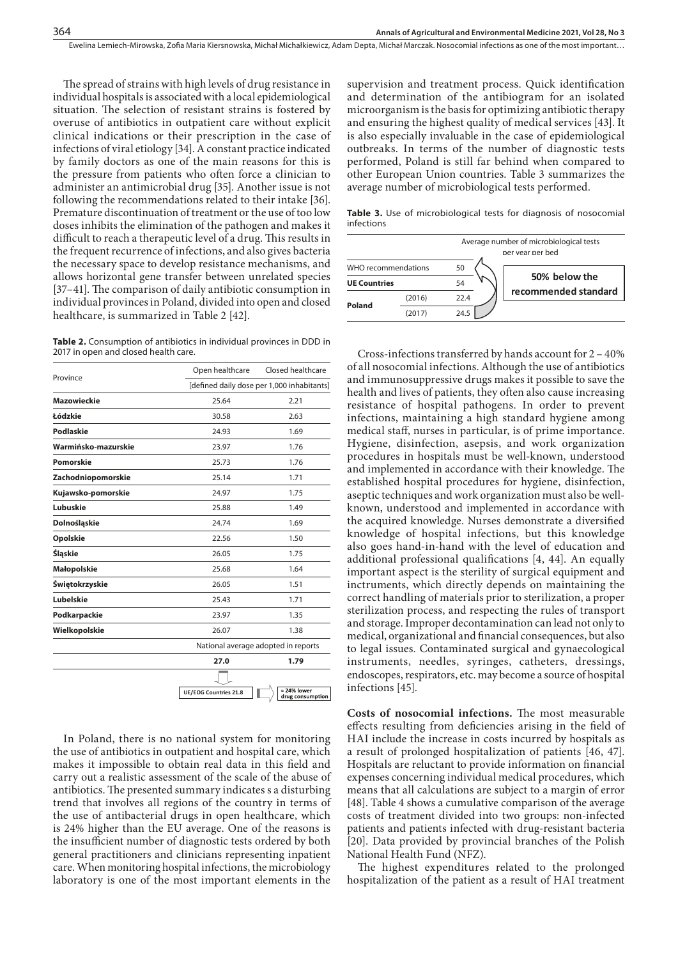The spread of strains with high levels of drug resistance in individual hospitals is associated with a local epidemiological situation. The selection of resistant strains is fostered by overuse of antibiotics in outpatient care without explicit clinical indications or their prescription in the case of infections of viral etiology [34]. A constant practice indicated by family doctors as one of the main reasons for this is the pressure from patients who often force a clinician to administer an antimicrobial drug [35]. Another issue is not following the recommendations related to their intake [36]. Premature discontinuation of treatment or the use of too low doses inhibits the elimination of the pathogen and makes it difficult to reach a therapeutic level of a drug. This results in the frequent recurrence of infections, and also gives bacteria the necessary space to develop resistance mechanisms, and allows horizontal gene transfer between unrelated species [37–41]. The comparison of daily antibiotic consumption in individual provinces in Poland, divided into open and closed healthcare, is summarized in Table 2 [42].

**Table 2.** Consumption of antibiotics in individual provinces in DDD in 2017 in open and closed health care.

| Province            | Open healthcare              | Closed healthcare                          |  |  |
|---------------------|------------------------------|--------------------------------------------|--|--|
|                     |                              | [defined daily dose per 1,000 inhabitants] |  |  |
| <b>Mazowieckie</b>  | 25.64                        | 2.21                                       |  |  |
| Łódzkie             | 30.58                        | 2.63                                       |  |  |
| Podlaskie           | 24.93                        | 1.69                                       |  |  |
| Warmińsko-mazurskie | 23.97                        | 1.76                                       |  |  |
| Pomorskie           | 25.73                        | 1.76                                       |  |  |
| Zachodniopomorskie  | 25.14                        | 1.71                                       |  |  |
| Kujawsko-pomorskie  | 24.97                        | 1.75                                       |  |  |
| Lubuskie            | 25.88                        | 1.49                                       |  |  |
| Dolnośląskie        | 24.74                        | 1.69                                       |  |  |
| Opolskie            | 22.56                        | 1.50                                       |  |  |
| Śląskie             | 26.05                        | 1.75                                       |  |  |
| <b>Małopolskie</b>  | 25.68                        | 1.64                                       |  |  |
| Świętokrzyskie      | 26.05                        | 1.51                                       |  |  |
| Lubelskie           | 25.43                        | 1.71                                       |  |  |
| Podkarpackie        | 23.97                        | 1.35                                       |  |  |
| Wielkopolskie       | 26.07                        | 1.38                                       |  |  |
|                     |                              | National average adopted in reports        |  |  |
|                     | 27.0                         | 1.79                                       |  |  |
|                     |                              |                                            |  |  |
|                     | <b>UE/EOG Countries 21.8</b> | $= 24\%$ lower<br>drug consumption         |  |  |
|                     |                              |                                            |  |  |

In Poland, there is no national system for monitoring the use of antibiotics in outpatient and hospital care, which makes it impossible to obtain real data in this field and carry out a realistic assessment of the scale of the abuse of antibiotics. The presented summary indicates s a disturbing trend that involves all regions of the country in terms of the use of antibacterial drugs in open healthcare, which is 24% higher than the EU average. One of the reasons is the insufficient number of diagnostic tests ordered by both general practitioners and clinicians representing inpatient care. When monitoring hospital infections, the microbiology laboratory is one of the most important elements in the

supervision and treatment process. Quick identification and determination of the antibiogram for an isolated microorganism is the basis for optimizing antibiotic therapy and ensuring the highest quality of medical services [43]. It is also especially invaluable in the case of epidemiological outbreaks. In terms of the number of diagnostic tests performed, Poland is still far behind when compared to other European Union countries. Table 3 summarizes the average number of microbiological tests performed.

**Table 3.** Use of microbiological tests for diagnosis of nosocomial infections

|                     |        | Average number of microbiological tests<br>per year per hed |                      |  |
|---------------------|--------|-------------------------------------------------------------|----------------------|--|
| WHO recommendations |        | 50                                                          |                      |  |
| <b>UE Countries</b> |        | 54                                                          | 50% below the        |  |
| Poland              | (2016) | 22.4                                                        | recommended standard |  |
|                     | (2017) | 24.5                                                        |                      |  |

Cross-infections transferred by hands account for 2 – 40% of all nosocomial infections. Although the use of antibiotics and immunosuppressive drugs makes it possible to save the health and lives of patients, they often also cause increasing resistance of hospital pathogens. In order to prevent infections, maintaining a high standard hygiene among medical staff, nurses in particular, is of prime importance. Hygiene, disinfection, asepsis, and work organization procedures in hospitals must be well-known, understood and implemented in accordance with their knowledge. The established hospital procedures for hygiene, disinfection, aseptic techniques and work organization must also be wellknown, understood and implemented in accordance with the acquired knowledge. Nurses demonstrate a diversified knowledge of hospital infections, but this knowledge also goes hand-in-hand with the level of education and additional professional qualifications [4, 44]. An equally important aspect is the sterility of surgical equipment and inctruments, which directly depends on maintaining the correct handling of materials prior to sterilization, a proper sterilization process, and respecting the rules of transport and storage. Improper decontamination can lead not only to medical, organizational and financial consequences, but also to legal issues. Contaminated surgical and gynaecological instruments, needles, syringes, catheters, dressings, endoscopes, respirators, etc. may become a source of hospital infections [45].

**Costs of nosocomial infections.** The most measurable effects resulting from deficiencies arising in the field of HAI include the increase in costs incurred by hospitals as a result of prolonged hospitalization of patients [46, 47]. Hospitals are reluctant to provide information on financial expenses concerning individual medical procedures, which means that all calculations are subject to a margin of error [48]. Table 4 shows a cumulative comparison of the average costs of treatment divided into two groups: non-infected patients and patients infected with drug-resistant bacteria [20]. Data provided by provincial branches of the Polish National Health Fund (NFZ).

The highest expenditures related to the prolonged hospitalization of the patient as a result of HAI treatment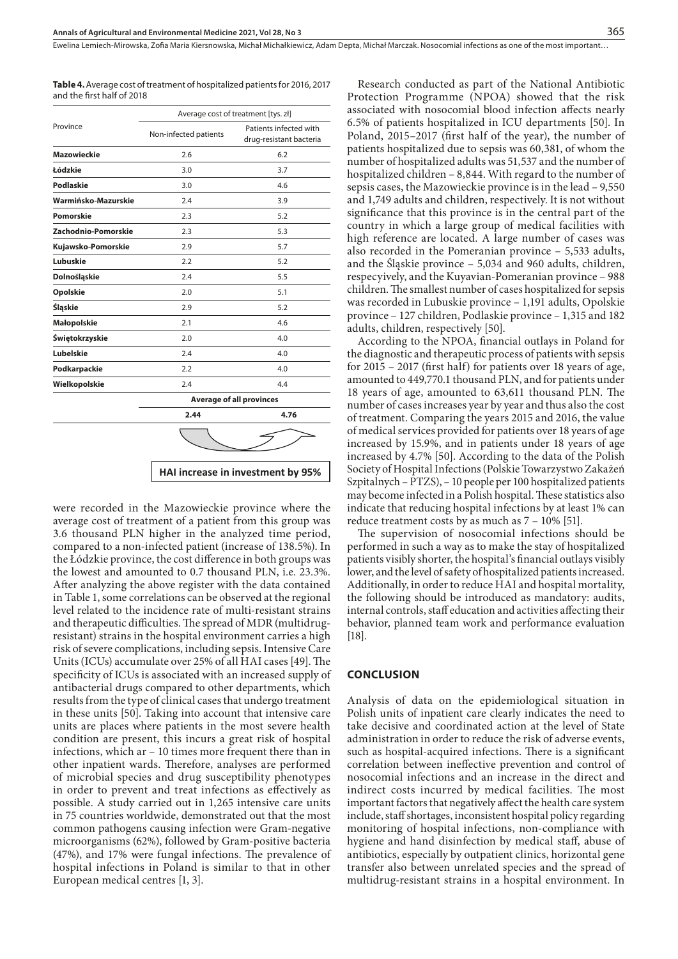**Table 4.** Average cost of treatment of hospitalized patients for 2016, 2017 and the first half of 2018

|                     | Average cost of treatment [tys. zł] |                                                   |  |
|---------------------|-------------------------------------|---------------------------------------------------|--|
| Province            | Non-infected patients               | Patients infected with<br>drug-resistant bacteria |  |
| <b>Mazowieckie</b>  | 2.6                                 | 6.2                                               |  |
| Łódzkie             | 3.0                                 | 3.7                                               |  |
| <b>Podlaskie</b>    | 3.0                                 | 4.6                                               |  |
| Warmińsko-Mazurskie | 2.4                                 | 3.9                                               |  |
| Pomorskie           | 2.3                                 | 5.2                                               |  |
| Zachodnio-Pomorskie | 2.3                                 | 5.3                                               |  |
| Kujawsko-Pomorskie  | 2.9                                 | 5.7                                               |  |
| Lubuskie            | 2.2                                 | 5.2                                               |  |
| Dolnośląskie        | 2.4                                 | 5.5                                               |  |
| Opolskie            | 2.0                                 | 5.1                                               |  |
| Śląskie             | 2.9                                 | 5.2                                               |  |
| Małopolskie         | 2.1                                 | 4.6                                               |  |
| Świętokrzyskie      | 2.0                                 | 4.0                                               |  |
| Lubelskie           | 2.4                                 | 4.0                                               |  |
| Podkarpackie        | 2.2                                 | 4.0                                               |  |
| Wielkopolskie       | 2.4                                 | 4.4                                               |  |
|                     | <b>Average of all provinces</b>     |                                                   |  |
|                     | 2.44                                | 4.76                                              |  |
|                     |                                     |                                                   |  |
|                     |                                     | HAI increase in investment by 95%                 |  |

were recorded in the Mazowieckie province where the average cost of treatment of a patient from this group was 3.6 thousand PLN higher in the analyzed time period, compared to a non-infected patient (increase of 138.5%). In the Łódzkie province, the cost difference in both groups was the lowest and amounted to 0.7 thousand PLN, i.e. 23.3%. After analyzing the above register with the data contained in Table 1, some correlations can be observed at the regional level related to the incidence rate of multi-resistant strains and therapeutic difficulties. The spread of MDR (multidrugresistant) strains in the hospital environment carries a high risk of severe complications, including sepsis. Intensive Care Units (ICUs) accumulate over 25% of all HAI cases [49]. The specificity of ICUs is associated with an increased supply of antibacterial drugs compared to other departments, which results from the type of clinical cases that undergo treatment in these units [50]. Taking into account that intensive care units are places where patients in the most severe health condition are present, this incurs a great risk of hospital infections, which ar – 10 times more frequent there than in other inpatient wards. Therefore, analyses are performed of microbial species and drug susceptibility phenotypes in order to prevent and treat infections as effectively as possible. A study carried out in 1,265 intensive care units in 75 countries worldwide, demonstrated out that the most common pathogens causing infection were Gram-negative microorganisms (62%), followed by Gram-positive bacteria (47%), and 17% were fungal infections. The prevalence of hospital infections in Poland is similar to that in other European medical centres [1, 3].

Research conducted as part of the National Antibiotic Protection Programme (NPOA) showed that the risk associated with nosocomial blood infection affects nearly 6.5% of patients hospitalized in ICU departments [50]. In Poland, 2015–2017 (first half of the year), the number of patients hospitalized due to sepsis was 60,381, of whom the number of hospitalized adults was 51,537 and the number of hospitalized children – 8,844. With regard to the number of sepsis cases, the Mazowieckie province is in the lead – 9,550 and 1,749 adults and children, respectively. It is not without significance that this province is in the central part of the country in which a large group of medical facilities with high reference are located. A large number of cases was also recorded in the Pomeranian province – 5,533 adults, and the Śląskie province – 5,034 and 960 adults, children, respecyively, and the Kuyavian-Pomeranian province – 988 children. The smallest number of cases hospitalized for sepsis was recorded in Lubuskie province – 1,191 adults, Opolskie province – 127 children, Podlaskie province – 1,315 and 182 adults, children, respectively [50].

According to the NPOA, financial outlays in Poland for the diagnostic and therapeutic process of patients with sepsis for 2015 – 2017 (first half) for patients over 18 years of age, amounted to 449,770.1 thousand PLN, and for patients under 18 years of age, amounted to 63,611 thousand PLN. The number of cases increases year by year and thus also the cost of treatment. Comparing the years 2015 and 2016, the value of medical services provided for patients over 18 years of age increased by 15.9%, and in patients under 18 years of age increased by 4.7% [50]. According to the data of the Polish Society of Hospital Infections (Polskie Towarzystwo Zakażeń Szpitalnych – PTZS), – 10 people per 100 hospitalized patients may become infected in a Polish hospital. These statistics also indicate that reducing hospital infections by at least 1% can reduce treatment costs by as much as 7 – 10% [51].

The supervision of nosocomial infections should be performed in such a way as to make the stay of hospitalized patients visibly shorter, the hospital's financial outlays visibly lower, and the level of safety of hospitalized patients increased. Additionally, in order to reduce HAI and hospital mortality, the following should be introduced as mandatory: audits, internal controls, staff education and activities affecting their behavior, planned team work and performance evaluation [18].

## **CONCLUSION**

Analysis of data on the epidemiological situation in Polish units of inpatient care clearly indicates the need to take decisive and coordinated action at the level of State administration in order to reduce the risk of adverse events, such as hospital-acquired infections. There is a significant correlation between ineffective prevention and control of nosocomial infections and an increase in the direct and indirect costs incurred by medical facilities. The most important factors that negatively affect the health care system include, staff shortages, inconsistent hospital policy regarding monitoring of hospital infections, non-compliance with hygiene and hand disinfection by medical staff, abuse of antibiotics, especially by outpatient clinics, horizontal gene transfer also between unrelated species and the spread of multidrug-resistant strains in a hospital environment. In